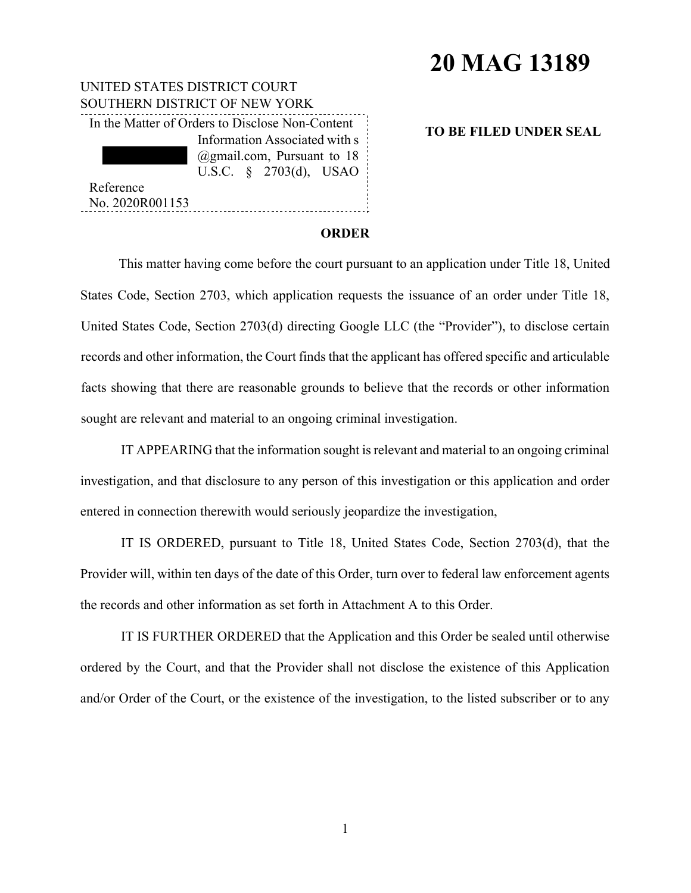# **20 MAG 13189**

| UNITED STATES DISTRICT COURT                    |                                      |  |                               |  |
|-------------------------------------------------|--------------------------------------|--|-------------------------------|--|
| SOUTHERN DISTRICT OF NEW YORK                   |                                      |  |                               |  |
| In the Matter of Orders to Disclose Non-Content |                                      |  |                               |  |
|                                                 |                                      |  | Information Associated with s |  |
|                                                 | $(\omega)$ gmail.com, Pursuant to 18 |  |                               |  |
|                                                 |                                      |  | U.S.C. $\S$ 2703(d), USAO     |  |
| Reference                                       |                                      |  |                               |  |
| No. 2020R001153                                 |                                      |  |                               |  |

### **TO BE FILED UNDER SEAL**

#### **ORDER**

This matter having come before the court pursuant to an application under Title 18, United States Code, Section 2703, which application requests the issuance of an order under Title 18, United States Code, Section 2703(d) directing Google LLC (the "Provider"), to disclose certain records and other information, the Court finds that the applicant has offered specific and articulable facts showing that there are reasonable grounds to believe that the records or other information sought are relevant and material to an ongoing criminal investigation.

IT APPEARING that the information sought is relevant and material to an ongoing criminal investigation, and that disclosure to any person of this investigation or this application and order entered in connection therewith would seriously jeopardize the investigation,

IT IS ORDERED, pursuant to Title 18, United States Code, Section 2703(d), that the Provider will, within ten days of the date of this Order, turn over to federal law enforcement agents the records and other information as set forth in Attachment A to this Order.

IT IS FURTHER ORDERED that the Application and this Order be sealed until otherwise ordered by the Court, and that the Provider shall not disclose the existence of this Application and/or Order of the Court, or the existence of the investigation, to the listed subscriber or to any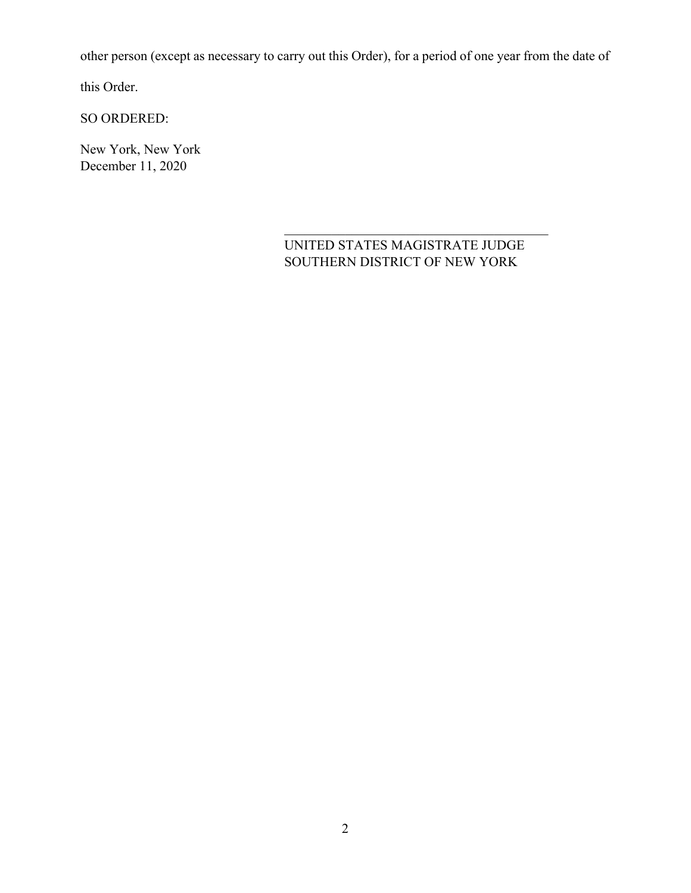other person (except as necessary to carry out this Order), for a period of one year from the date of

this Order.

SO ORDERED:

New York, New York December 11, 2020

## UNITED STATES MAGISTRATE JUDGE SOUTHERN DISTRICT OF NEW YORK